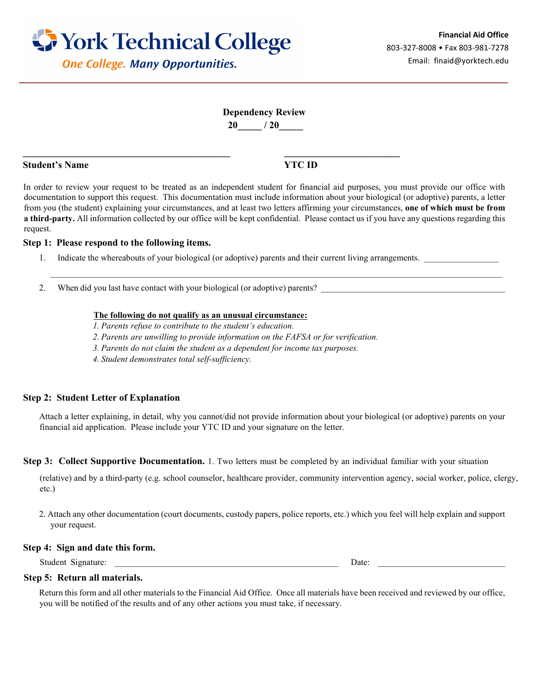

# **One College. Many Opportunities.**

# **Dependency Review 20\_\_\_\_\_ / 20\_\_\_\_\_**

### **Student's Name YTC ID**

In order to review your request to be treated as an independent student for financial aid purposes, you must provide our office with documentation to support this request. This documentation must include information about your biological (or adoptive) parents, a letter from you (the student) explaining your circumstances, and at least two letters affirming your circumstances, **one of which must be from a third-party.** All information collected by our office will be kept confidential. Please contact us if you have any questions regarding this request.

\_\_\_\_\_\_\_\_\_\_\_\_\_\_\_\_\_\_\_\_\_\_\_\_\_\_\_\_\_\_\_\_\_\_\_\_\_\_\_\_\_\_\_\_\_\_\_\_\_\_\_\_\_\_\_\_\_\_\_\_\_\_\_\_\_\_\_\_\_\_\_\_\_\_\_\_\_\_\_\_\_\_\_\_\_\_\_\_\_\_\_\_\_\_\_\_\_\_\_\_\_\_\_

#### **Step 1: Please respond to the following items.**

- 1. Indicate the whereabouts of your biological (or adoptive) parents and their current living arrangements.
- 2. When did you last have contact with your biological (or adoptive) parents? \_\_\_\_\_\_\_\_\_

#### **The following do not qualify as an unusual circumstance:**

**\_\_\_\_\_\_\_\_\_\_\_\_\_\_\_\_\_\_\_\_\_\_\_\_\_\_\_\_\_\_\_\_\_\_\_\_\_\_\_\_\_\_\_ \_\_\_\_\_\_\_\_\_\_\_\_\_\_\_\_\_\_\_\_\_\_\_\_**

- *1. Parents refuse to contribute to the student's education.*
- *2. Parents are unwilling to provide information on the FAFSA or for verification.*
- *3. Parents do not claim the student as a dependent for income tax purposes.*
- *4. Student demonstrates total self-sufficiency.*

### **Step 2: Student Letter of Explanation**

Attach a letter explaining, in detail, why you cannot/did not provide information about your biological (or adoptive) parents on your financial aid application. Please include your YTC ID and your signature on the letter.

**Step 3: Collect Supportive Documentation.** 1. Two letters must be completed by an individual familiar with your situation

(relative) and by a third-party (e.g. school counselor, healthcare provider, community intervention agency, social worker, police, clergy, etc.)

2. Attach any other documentation (court documents, custody papers, police reports, etc.) which you feel will help explain and support your request.

#### **Step 4: Sign and date this form.**

Student Signature: \_\_\_\_\_\_\_\_\_\_\_\_\_\_\_\_\_\_\_\_\_\_\_\_\_\_\_\_\_\_\_\_\_\_\_\_\_\_\_\_\_\_\_\_\_\_\_\_\_\_\_ Date: \_\_\_\_\_\_\_\_\_\_\_\_\_\_\_\_\_\_\_\_\_\_\_\_\_\_\_\_\_

#### **Step 5: Return all materials.**

Return this form and all other materials to the Financial Aid Office. Once all materials have been received and reviewed by our office, you will be notified of the results and of any other actions you must take, if necessary.